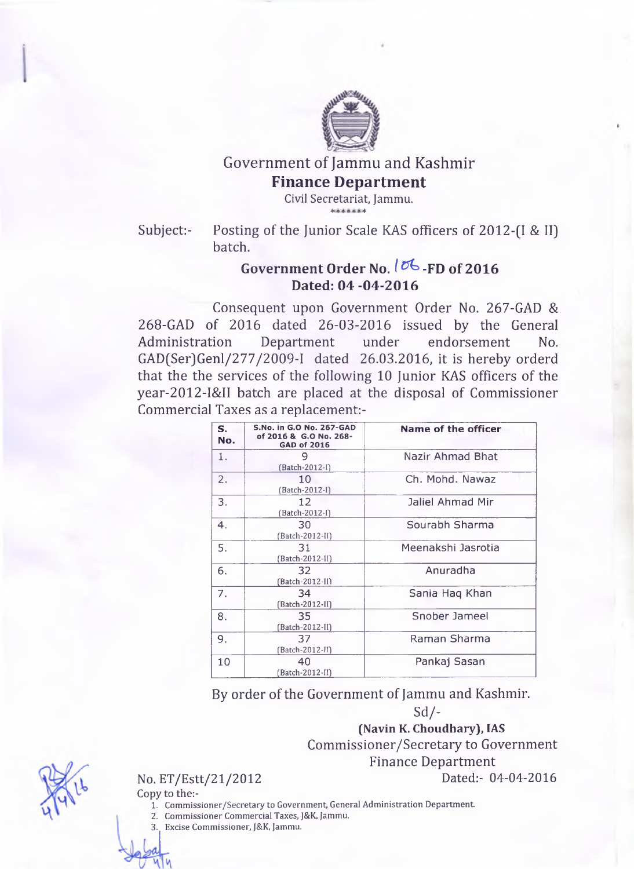

## Government of Jammu and Kashmir **Finance Department**

**Civil Secretariat, Jammu.** afc 5(c

Subject:- Posting of the Junior Scale KAS officers of 2012-(I & II) batch.

## **Government Order No.** *I* **^ -FD of 2016 Dated: 04-04-2016**

Consequent upon Government Order No. 267-GAD & 268-GAD of 2016 dated 26-03-2016 issued by the General Administration Department under endorsement No. GAD(Ser)Genl/277/2009-I dated 26.03.2016, it is hereby orderd that the the services of the following 10 Junior KAS officers of the year-2012-I&II batch are placed at the disposal of Commissioner Commercial Taxes as a replacement:-

| S.<br>No. | S.No. in G.O No. 267-GAD<br>of 2016 & G.O No. 268-<br><b>GAD of 2016</b> | Name of the officer |
|-----------|--------------------------------------------------------------------------|---------------------|
| 1.        | 9<br>(Batch-2012-I)                                                      | Nazir Ahmad Bhat    |
| 2.        | 10<br>(Batch-2012-I)                                                     | Ch. Mohd. Nawaz     |
| 3.        | 12<br>(Batch-2012-I)                                                     | Jaliel Ahmad Mir    |
| 4.        | 30<br>(Batch-2012-II)                                                    | Sourabh Sharma      |
| 5.        | 31<br>(Batch-2012-II)                                                    | Meenakshi Jasrotia  |
| 6.        | 32<br>(Batch-2012-II)                                                    | Anuradha            |
| 7.        | 34<br>(Batch-2012-II)                                                    | Sania Hag Khan      |
| 8.        | 35<br>(Batch-2012-II)                                                    | Snober Jameel       |
| 9.        | 37.<br>(Batch-2012-II)                                                   | Raman Sharma        |
| 10        | 40<br>(Batch-2012-II)                                                    | Pankaj Sasan        |

By order of the Government of Jammu and Kashmir. Sd/-

> **(Navin K. Choudhary), IAS** Commissioner/Secretary to Government Finance Department

No. ET/Estt/21/2012 Dated:- 04-04-2016

Copy to the:- **1. Commissioner/Secretary to Government, General Administration Department.**

- **2. Commissioner Commercial Taxes, J&K, Jammu.**
- **3. Excise Commissioner, J&K, Jammu.**